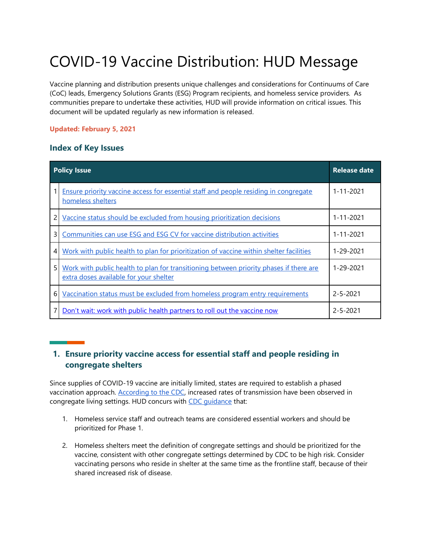# COVID-19 Vaccine Distribution: HUD Message

Vaccine planning and distribution presents unique challenges and considerations for Continuums of Care (CoC) leads, Emergency Solutions Grants (ESG) Program recipients, and homeless service providers. As communities prepare to undertake these activities, HUD will provide information on critical issues. This document will be updated regularly as new information is released.

#### **Updated: February 5, 2021**

#### **Index of Key Issues**

| <b>Policy Issue</b> |                                                                                                                                  | <b>Release date</b> |
|---------------------|----------------------------------------------------------------------------------------------------------------------------------|---------------------|
|                     | <b>Ensure priority vaccine access for essential staff and people residing in congregate</b><br>homeless shelters                 | 1-11-2021           |
| 2                   | Vaccine status should be excluded from housing prioritization decisions                                                          | $1 - 11 - 2021$     |
| 3                   | Communities can use ESG and ESG CV for vaccine distribution activities                                                           | $1 - 11 - 2021$     |
| 4                   | Work with public health to plan for prioritization of vaccine within shelter facilities                                          | 1-29-2021           |
| 5                   | Work with public health to plan for transitioning between priority phases if there are<br>extra doses available for your shelter | 1-29-2021           |
| 6                   | Vaccination status must be excluded from homeless program entry requirements                                                     | $2 - 5 - 2021$      |
|                     | Don't wait: work with public health partners to roll out the vaccine now                                                         | $2 - 5 - 2021$      |

### <span id="page-0-0"></span>**1. Ensure priority vaccine access for essential staff and people residing in congregate shelters**

Since supplies of COVID-19 vaccine are initially limited, states are required to establish a phased vaccination approach. [According to the CDC,](https://www.cdc.gov/vaccines/covid-19/phased-implementation.html) increased rates of transmission have been observed in congregate living settings. HUD concurs with [CDC guidance](https://www.cdc.gov/vaccines/covid-19/phased-implementation.html) that:

- 1. Homeless service staff and outreach teams are considered essential workers and should be prioritized for Phase 1.
- 2. Homeless shelters meet the definition of congregate settings and should be prioritized for the vaccine, consistent with other congregate settings determined by CDC to be high risk. Consider vaccinating persons who reside in shelter at the same time as the frontline staff, because of their shared increased risk of disease.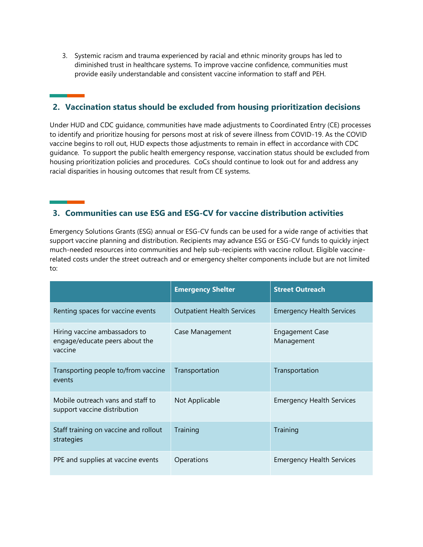3. Systemic racism and trauma experienced by racial and ethnic minority groups has led to diminished trust in healthcare systems. To improve vaccine confidence, communities must provide easily understandable and consistent vaccine information to staff and PEH.

# <span id="page-1-0"></span>**2. Vaccination status should be excluded from housing prioritization decisions**

Under HUD and CDC guidance, communities have made adjustments to Coordinated Entry (CE) processes to identify and prioritize housing for persons most at risk of severe illness from COVID-19. As the COVID vaccine begins to roll out, HUD expects those adjustments to remain in effect in accordance with CDC guidance. To support the public health emergency response, vaccination status should be excluded from housing prioritization policies and procedures. CoCs should continue to look out for and address any racial disparities in housing outcomes that result from CE systems.

#### <span id="page-1-1"></span>**3. Communities can use ESG and ESG-CV for vaccine distribution activities**

Emergency Solutions Grants (ESG) annual or ESG-CV funds can be used for a wide range of activities that support vaccine planning and distribution. Recipients may advance ESG or ESG-CV funds to quickly inject much-needed resources into communities and help sub-recipients with vaccine rollout. Eligible vaccinerelated costs under the street outreach and or emergency shelter components include but are not limited to:

|                                                                            | <b>Emergency Shelter</b>          | <b>Street Outreach</b>               |
|----------------------------------------------------------------------------|-----------------------------------|--------------------------------------|
| Renting spaces for vaccine events                                          | <b>Outpatient Health Services</b> | <b>Emergency Health Services</b>     |
| Hiring vaccine ambassadors to<br>engage/educate peers about the<br>vaccine | Case Management                   | <b>Engagement Case</b><br>Management |
| Transporting people to/from vaccine<br>events                              | Transportation                    | Transportation                       |
| Mobile outreach vans and staff to<br>support vaccine distribution          | Not Applicable                    | <b>Emergency Health Services</b>     |
| Staff training on vaccine and rollout<br>strategies                        | Training                          | Training                             |
| PPE and supplies at vaccine events                                         | Operations                        | <b>Emergency Health Services</b>     |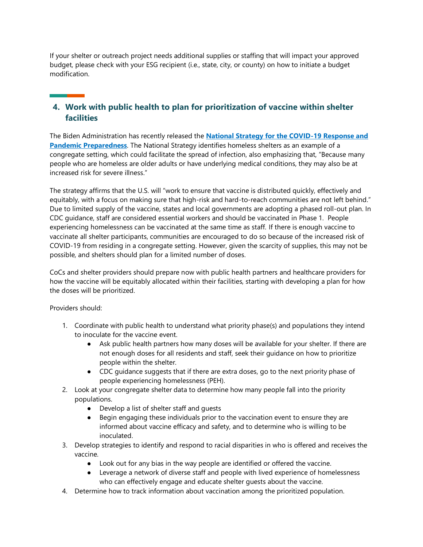If your shelter or outreach project needs additional supplies or staffing that will impact your approved budget, please check with your ESG recipient (i.e., state, city, or county) on how to initiate a budget modification.

# <span id="page-2-0"></span>**4. Work with public health to plan for prioritization of vaccine within shelter facilities**

The Biden Administration has recently released the **[National Strategy for the COVID-19 Response and](https://www.whitehouse.gov/wp-content/uploads/2021/01/National-Strategy-for-the-COVID-19-Response-and-Pandemic-Preparedness.pdf)  [Pandemic Preparedness](https://www.whitehouse.gov/wp-content/uploads/2021/01/National-Strategy-for-the-COVID-19-Response-and-Pandemic-Preparedness.pdf)**. The National Strategy identifies homeless shelters as an example of a congregate setting, which could facilitate the spread of infection, also emphasizing that, "Because many people who are homeless are older adults or have underlying medical conditions, they may also be at increased risk for severe illness."

The strategy affirms that the U.S. will "work to ensure that vaccine is distributed quickly, effectively and equitably, with a focus on making sure that high-risk and hard-to-reach communities are not left behind." Due to limited supply of the vaccine, states and local governments are adopting a phased roll-out plan. In CDC guidance, staff are considered essential workers and should be vaccinated in Phase 1. People experiencing homelessness can be vaccinated at the same time as staff. If there is enough vaccine to vaccinate all shelter participants, communities are encouraged to do so because of the increased risk of COVID-19 from residing in a congregate setting. However, given the scarcity of supplies, this may not be possible, and shelters should plan for a limited number of doses.

CoCs and shelter providers should prepare now with public health partners and healthcare providers for how the vaccine will be equitably allocated within their facilities, starting with developing a plan for how the doses will be prioritized.

Providers should:

- 1. Coordinate with public health to understand what priority phase(s) and populations they intend to inoculate for the vaccine event.
	- Ask public health partners how many doses will be available for your shelter. If there are not enough doses for all residents and staff, seek their guidance on how to prioritize people within the shelter.
	- CDC guidance suggests that if there are extra doses, go to the next priority phase of people experiencing homelessness (PEH).
- 2. Look at your congregate shelter data to determine how many people fall into the priority populations.
	- Develop a list of shelter staff and quests
	- Begin engaging these individuals prior to the vaccination event to ensure they are informed about vaccine efficacy and safety, and to determine who is willing to be inoculated.
- 3. Develop strategies to identify and respond to racial disparities in who is offered and receives the vaccine.
	- Look out for any bias in the way people are identified or offered the vaccine.
	- Leverage a network of diverse staff and people with lived experience of homelessness who can effectively engage and educate shelter guests about the vaccine.
- 4. Determine how to track information about vaccination among the prioritized population.